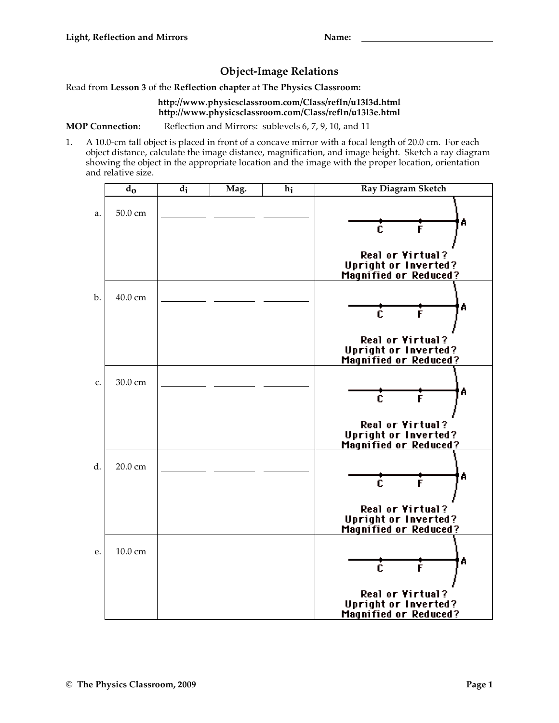## **Object-Image Relations**

Read from **Lesson 3** of the **Reflection chapter** at **The Physics Classroom:**

## **http://www.physicsclassroom.com/Class/refln/u13l3d.html http://www.physicsclassroom.com/Class/refln/u13l3e.html**

**MOP Connection:** Reflection and Mirrors: sublevels 6, 7, 9, 10, and 11

1. A 10.0-cm tall object is placed in front of a concave mirror with a focal length of 20.0 cm. For each object distance, calculate the image distance, magnification, and image height. Sketch a ray diagram showing the object in the appropriate location and the image with the proper location, orientation and relative size.